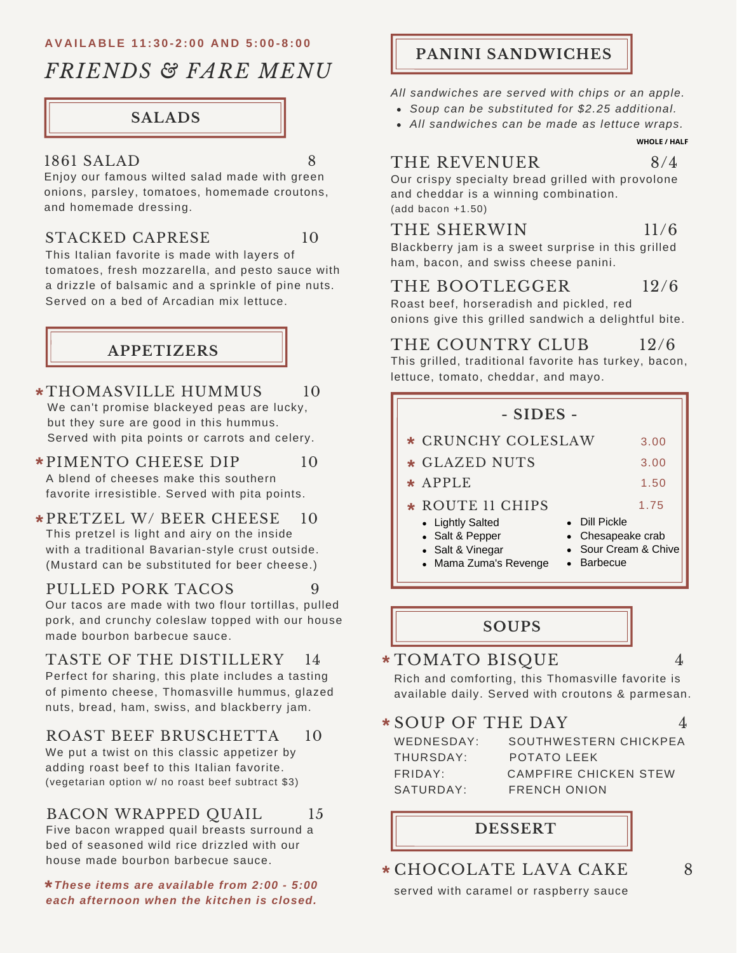#### **AVAILABLE 11:30-2:00 AND 5:00-8:00**

# *FRIENDS & FARE MENU*

# **SALADS**

#### 1861 SALAD 8

Enjoy our famous wilted salad made with green onions, parsley, tomatoes, homemade croutons, and homemade dressing.

#### STACKED CAPRESE 10

This Italian favorite is made with layers of tomatoes, fresh mozzarella, and pesto sauce with a drizzle of balsamic and a sprinkle of pine nuts. Served on a bed of Arcadian mix lettuce.

# **APPETIZERS**

- THOMASVILLE HUMMUS 10 **\*** We can't promise blackeyed peas are lucky, but they sure are good in this hummus. Served with pita points or carrots and celery.
- PIMENTO CHEESE DIP 10 **\*** A blend of cheeses make this southern favorite irresistible. Served with pita points.
- PRETZEL W/ BEER CHEESE 10 **\*** This pretzel is light and airy on the inside with a traditional Bavarian-style crust outside. (Mustard can be substituted for beer cheese.)

## PULLED PORK TACOS 9

Our tacos are made with two flour tortillas, pulled pork, and crunchy coleslaw topped with our house made bourbon barbecue sauce.

TASTE OF THE DISTILLERY 14 Perfect for sharing, this plate includes a tasting of pimento cheese, Thomasville hummus, glazed nuts, bread, ham, swiss, and blackberry jam.

## ROAST BEEF BRUSCHETTA 10

We put a twist on this classic appetizer by adding roast beef to this Italian favorite. (vegetarian option w/ no roast beef subtract \$3)

## BACON WRAPPED OUAIL 15

Five bacon wrapped quail breasts surround a bed of seasoned wild rice drizzled with our house made bourbon barbecue sauce.

*These items are available from 2:00 - 5:00* **\*** *each afternoon when the kitchen is closed.*

# **PANINI SANDWICHES**

*All sandwiches are served with chips or an apple.*

- *Soup can be substituted for \$2.25 additional.*
- *All sandwiches can be made as lettuce wraps.*

**WHOLE / HALF**

## THE REVENUER 8/4

Our crispy specialty bread grilled with provolone and cheddar is a winning combination. (add bacon +1.50)

# THE SHERWIN 11/6

Blackberry jam is a sweet surprise in this grilled ham, bacon, and swiss cheese panini.

# THE BOOTLEGGER 12/6

Roast beef, horseradish and pickled, red onions give this grilled sandwich a delightful bite.

# THE COUNTRY CLUB 12/6

This grilled, traditional favorite has turkey, bacon, lettuce, tomato, cheddar, and mayo.

| - SIDES -                                                                                            |                                                                                  |
|------------------------------------------------------------------------------------------------------|----------------------------------------------------------------------------------|
| * CRUNCHY COLESLAW                                                                                   | 3.00                                                                             |
| * GLAZED NUTS                                                                                        | 3.00                                                                             |
| $\star$ APPLE                                                                                        | 1.50                                                                             |
| * ROUTE 11 CHIPS<br>• Lightly Salted<br>• Salt & Pepper<br>• Salt & Vinegar<br>• Mama Zuma's Revenge | 1.75<br>• Dill Pickle<br>• Chesapeake crab<br>• Sour Cream & Chive<br>• Barbecue |

**SOUPS**

# TOMATO BISQUE 4 **\***

Rich and comforting, this Thomasville favorite is available daily. Served with croutons & parmesan.

# SOUP OF THE DAY 4 **\***

WEDNESDAY: THURSDAY: FRIDAY: SATURDAY:

| SOUTHWESTERN CHICKPEA |
|-----------------------|
| POTATO LEFK           |
| CAMPFIRE CHICKEN STEW |
| <b>FRENCH ONION</b>   |
|                       |

# **DESSERT**

CHOCOLATE LAVA CAKE 8 **\***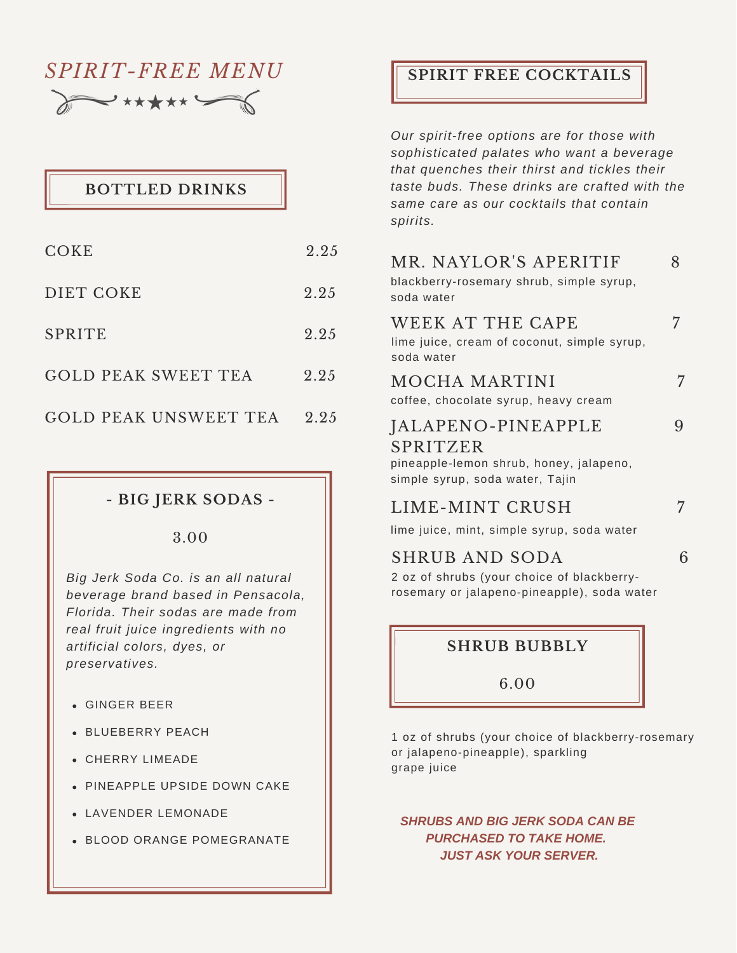# *SPIRIT-FREE MENU* DE \*\*\*\*\*

# **BOTTLED DRINKS**

| COKE                         | 2.25 |
|------------------------------|------|
| DIET COKE                    | 2.25 |
| <b>SPRITE</b>                | 2.25 |
| <b>GOLD PEAK SWEET TEA</b>   | 2.25 |
| <b>GOLD PEAK UNSWEET TEA</b> | 2.25 |

# **- BIG JERK SODAS -**

3.00

*Big Jerk Soda Co. is an all natural beverage brand based in Pensacola, Florida. Their sodas are made from real fruit juice ingredients with no artificial colors, dyes, or preservatives.*

- GINGER BEER
- BLUEBERRY PEACH
- CHERRY LIMEADE
- PINEAPPLE UPSIDE DOWN CAKE
- LAVENDER LEMONADE
- BLOOD ORANGE POMEGRANATE

# **SPIRIT FREE COCKTAILS**

*Our spirit-free options are for those with sophisticated palates who want a beverage that quenches their thirst and tickles their taste buds. These drinks are crafted with the same care as our cocktails that contain spirits.*

| MR. NAYLOR'S APERITIF<br>blackberry-rosemary shrub, simple syrup,<br>soda water                              |   |
|--------------------------------------------------------------------------------------------------------------|---|
| WEEK AT THE CAPE<br>lime juice, cream of coconut, simple syrup,<br>soda water                                |   |
| <b>MOCHA MARTINI</b><br>coffee, chocolate syrup, heavy cream                                                 | 7 |
| JALAPENO-PINEAPPLE<br>SPRITZER<br>pineapple-lemon shrub, honey, jalapeno,<br>simple syrup, soda water, Tajin |   |
| LIME-MINT CRUSH<br>lime juice, mint, simple syrup, soda water                                                |   |

lime juice, mint, simple syrup, soda water

## SHRUB AND SODA 6

2 oz of shrubs (your choice of blackberryrosemary or jalapeno-pineapple), soda water

## **SHRUB BUBBLY**

6.00

1 oz of shrubs (your choice of blackberry-rosemary or jalapeno-pineapple), sparkling grape juice

*SHRUBS AND BIG JERK SODA CAN BE PURCHASED TO TAKE HOME. JUST ASK YOUR SERVER.*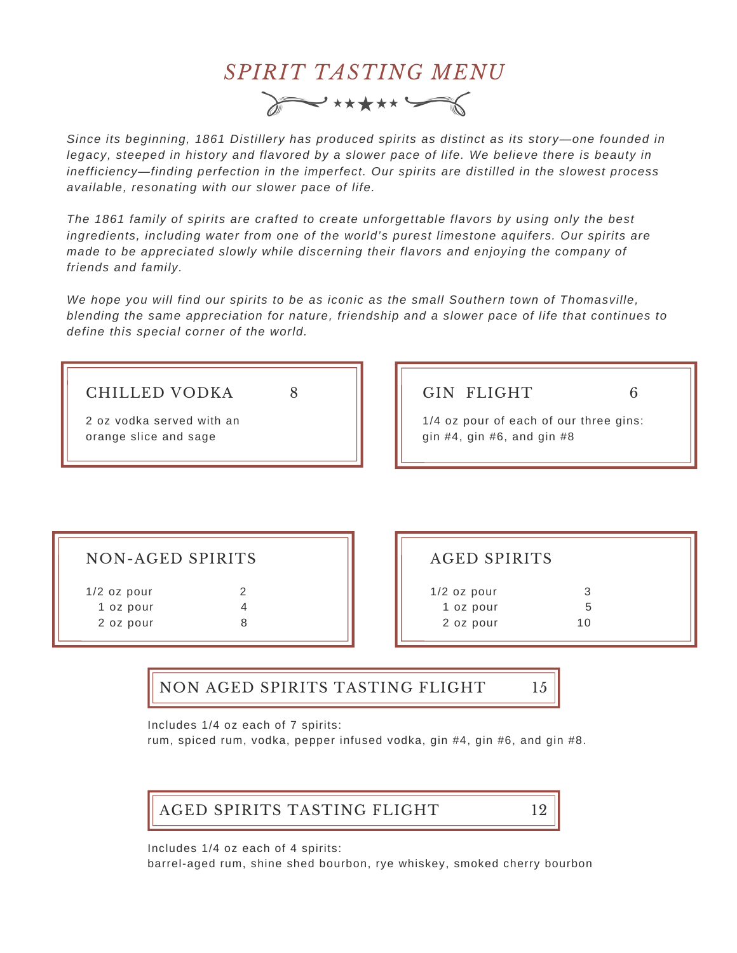

*Since its beginning, 1861 Distillery has produced spirits as distinct as its story—one founded in legacy, steeped in history and flavored by a slower pace of life. We believe there is beauty in inefficiency—finding perfection in the imperfect. Our spirits are distilled in the slowest process available, resonating with our slower pace of life.*

*The 1861 family of spirits are crafted to create unforgettable flavors by using only the best ingredients, including water from one of the world's purest limestone aquifers. Our spirits are made to be appreciated slowly while discerning their flavors and enjoying the company of friends and family.*

*We hope you will find our spirits to be as iconic as the small Southern town of Thomasville, blending the same appreciation for nature, friendship and a slower pace of life that continues to define this special corner of the world.*

| <b>CHILLED VODKA</b><br>2 oz vodka served with an<br>orange slice and sage | <b>GIN FLIGHT</b><br>1/4 oz pour of each of our three gins:<br>gin $#4$ , gin $#6$ , and gin $#8$ |  |
|----------------------------------------------------------------------------|---------------------------------------------------------------------------------------------------|--|
|                                                                            |                                                                                                   |  |

| <b>NON-AGED SPIRITS</b> |  |
|-------------------------|--|
|                         |  |

|  | $1/2$ oz pour | 2 |  |
|--|---------------|---|--|
|  | 1 oz pour     | Δ |  |
|  | 2 oz pour     | 8 |  |
|  |               |   |  |

| AGED SPIRITS                            |               |  |
|-----------------------------------------|---------------|--|
| $1/2$ oz pour<br>1 oz pour<br>2 oz pour | 3<br>5<br>1 Q |  |

NON AGED SPIRITS TASTING FLIGHT 15

Includes 1/4 oz each of 7 spirits:

rum, spiced rum, vodka, pepper infused vodka, gin #4, gin #6, and gin #8.



Includes 1/4 oz each of 4 spirits:

barrel-aged rum, shine shed bourbon, rye whiskey, smoked cherry bourbon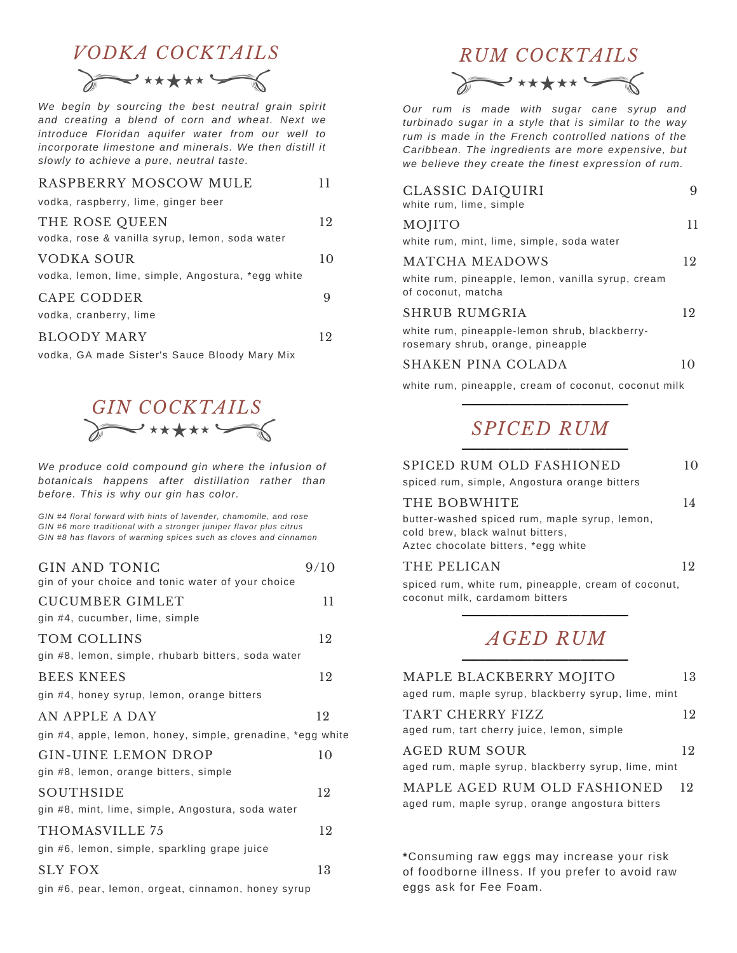# *VODKA COCKTAILS RUM COCKTAILS*

*We begin by sourcing the best neutral grain spirit and creating a blend of corn and wheat. Next we introduce Floridan aquifer water from our well to incorporate limestone and minerals. We then distill it slowly to achieve a pure, neutral taste.*

| RASPBERRY MOSCOW MULE                             |    |
|---------------------------------------------------|----|
| vodka, raspberry, lime, ginger beer               |    |
| THE ROSE QUEEN                                    | 12 |
| vodka, rose & vanilla syrup, lemon, soda water    |    |
| VODKA SOUR                                        | 10 |
| vodka, lemon, lime, simple, Angostura, *egg white |    |
| CAPE CODDER                                       |    |
| vodka, cranberry, lime                            |    |
| BLOODY MARY                                       | 19 |

vodka, GA made Sister's Sauce Bloody Mary Mix



*We produce cold compound gin where the infusion of botanicals happens after distillation rather than before. This is why our gin has color.*

*GIN #4 floral forward with hints of lavender, chamomile, and rose GIN #6 more traditional with a stronger juniper flavor plus citrus GIN #8 has flavors of warming spices such as cloves and cinnamon*

| 9/10                                                       |
|------------------------------------------------------------|
|                                                            |
| 11                                                         |
|                                                            |
| 12                                                         |
|                                                            |
| 12                                                         |
|                                                            |
| 12                                                         |
| gin #4, apple, lemon, honey, simple, grenadine, *egg white |
| 10                                                         |
|                                                            |
| 12                                                         |
|                                                            |
| 12                                                         |
|                                                            |
| 13                                                         |
|                                                            |

gin #6, pear, lemon, orgeat, cinnamon, honey syrup

# $\prec$ \*\*\*\*\*

*Our rum is made with sugar cane syrup and turbinado sugar in a style that is similar to the way rum is made in the French controlled nations of the Caribbean. The ingredients are more expensive, but we believe they create the finest expression of rum.*

| CLASSIC DAIQUIRI<br>white rum, lime, simple                                        |    |
|------------------------------------------------------------------------------------|----|
| MOJITO                                                                             | 11 |
| white rum, mint, lime, simple, soda water                                          |    |
| MATCHA MEADOWS                                                                     | 12 |
| white rum, pineapple, lemon, vanilla syrup, cream<br>of coconut, matcha            |    |
| SHRUB RUMGRIA                                                                      | 12 |
| white rum, pineapple-lemon shrub, blackberry-<br>rosemary shrub, orange, pineapple |    |
| SHAKEN PINA COLADA                                                                 | 10 |
| white rum, pineapple, cream of coconut, coconut milk                               |    |
|                                                                                    |    |
| <b>SPICED RUM</b>                                                                  |    |

| SPICED RUM OLD FASHIONED<br>spiced rum, simple, Angostura orange bitters                                                                 | 10 |
|------------------------------------------------------------------------------------------------------------------------------------------|----|
| THE BOBWHITE<br>butter-washed spiced rum, maple syrup, lemon,<br>cold brew, black walnut bitters,<br>Aztec chocolate bitters, *egg white | 14 |
| THE PELICAN<br>spiced rum, white rum, pineapple, cream of coconut,<br>coconut milk, cardamom bitters                                     | 12 |
| <b>AGED RUM</b>                                                                                                                          |    |
| MAPLE BLACKBERRY MOJITO<br>aged rum, maple syrup, blackberry syrup, lime, mint                                                           | 13 |
| TART CHERRY FIZZ<br>aged rum, tart cherry juice, lemon, simple                                                                           | 12 |
| AGED RUM SOUR                                                                                                                            | 12 |

aged rum, maple syrup, blackberry syrup, lime, mint

aged rum, maple syrup, orange angostura bitters MAPLE AGED RUM OLD FASHIONED 12

**\***Consuming raw eggs may increase your risk of foodborne illness. If you prefer to avoid raw eggs ask for Fee Foam.